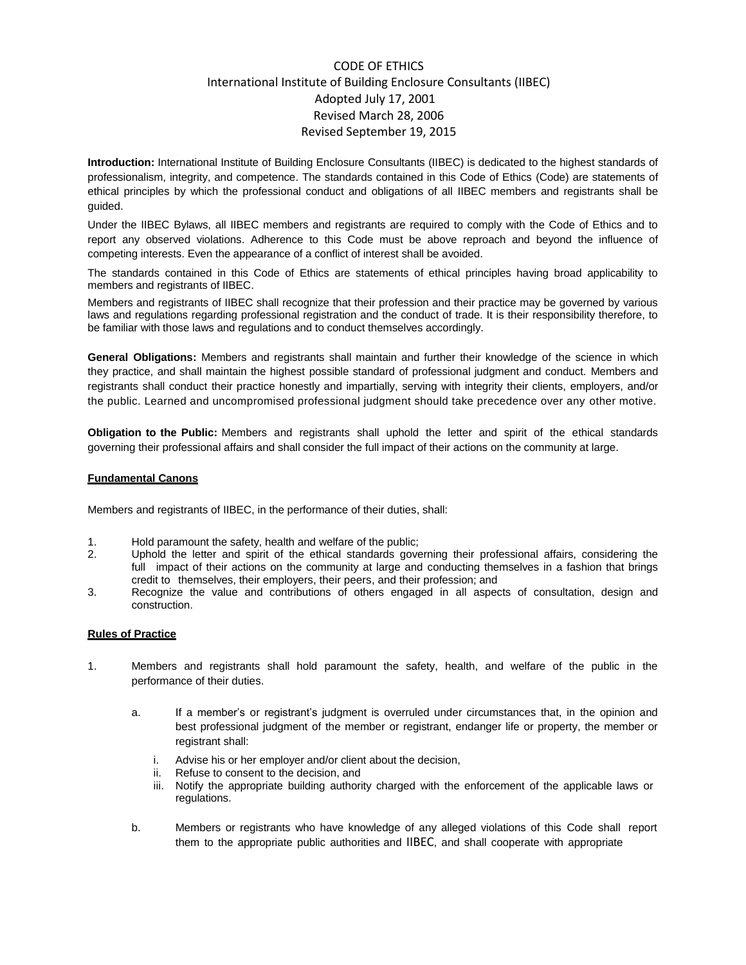# CODE OF ETHICS International Institute of Building Enclosure Consultants (IIBEC) Adopted July 17, 2001 Revised March 28, 2006 Revised September 19, 2015

**Introduction:** International Institute of Building Enclosure Consultants (IIBEC) is dedicated to the highest standards of professionalism, integrity, and competence. The standards contained in this Code of Ethics (Code) are statements of ethical principles by which the professional conduct and obligations of all IIBEC members and registrants shall be guided.

Under the IIBEC Bylaws, all IIBEC members and registrants are required to comply with the Code of Ethics and to report any observed violations. Adherence to this Code must be above reproach and beyond the influence of competing interests. Even the appearance of a conflict of interest shall be avoided.

The standards contained in this Code of Ethics are statements of ethical principles having broad applicability to members and registrants of IIBEC.

Members and registrants of IIBEC shall recognize that their profession and their practice may be governed by various laws and regulations regarding professional registration and the conduct of trade. It is their responsibility therefore, to be familiar with those laws and regulations and to conduct themselves accordingly.

**General Obligations:** Members and registrants shall maintain and further their knowledge of the science in which they practice, and shall maintain the highest possible standard of professional judgment and conduct. Members and registrants shall conduct their practice honestly and impartially, serving with integrity their clients, employers, and/or the public. Learned and uncompromised professional judgment should take precedence over any other motive.

**Obligation to the Public:** Members and registrants shall uphold the letter and spirit of the ethical standards governing their professional affairs and shall consider the full impact of their actions on the community at large.

#### **Fundamental Canons**

Members and registrants of IIBEC, in the performance of their duties, shall:

- 1. Hold paramount the safety, health and welfare of the public;
- 2. Uphold the letter and spirit of the ethical standards governing their professional affairs, considering the full impact of their actions on the community at large and conducting themselves in a fashion that brings credit to themselves, their employers, their peers, and their profession; and
- 3. Recognize the value and contributions of others engaged in all aspects of consultation, design and construction.

### **Rules of Practice**

- 1. Members and registrants shall hold paramount the safety, health, and welfare of the public in the performance of their duties.
	- a. If a member's or registrant's judgment is overruled under circumstances that, in the opinion and best professional judgment of the member or registrant, endanger life or property, the member or registrant shall:
		- i. Advise his or her employer and/or client about the decision,
		- ii. Refuse to consent to the decision, and
		- iii. Notify the appropriate building authority charged with the enforcement of the applicable laws or regulations.
	- b. Members or registrants who have knowledge of any alleged violations of this Code shall report them to the appropriate public authorities and IIBEC, and shall cooperate with appropriate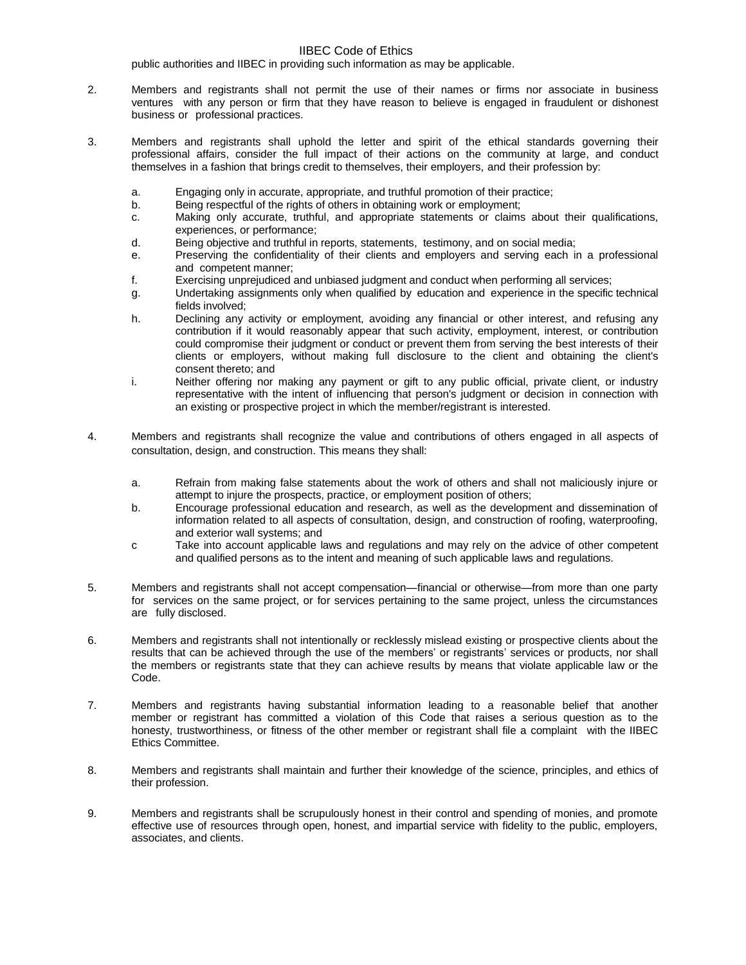#### IIBEC Code of Ethics

public authorities and IIBEC in providing such information as may be applicable.

- 2. Members and registrants shall not permit the use of their names or firms nor associate in business ventures with any person or firm that they have reason to believe is engaged in fraudulent or dishonest business or professional practices.
- 3. Members and registrants shall uphold the letter and spirit of the ethical standards governing their professional affairs, consider the full impact of their actions on the community at large, and conduct themselves in a fashion that brings credit to themselves, their employers, and their profession by:
	- a. Engaging only in accurate, appropriate, and truthful promotion of their practice;
	- b. Being respectful of the rights of others in obtaining work or employment;
	- c. Making only accurate, truthful, and appropriate statements or claims about their qualifications, experiences, or performance;
	- d. Being objective and truthful in reports, statements, testimony, and on social media;
	- e. Preserving the confidentiality of their clients and employers and serving each in a professional and competent manner;
	- f. Exercising unprejudiced and unbiased judgment and conduct when performing all services;
	- g. Undertaking assignments only when qualified by education and experience in the specific technical fields involved;
	- h. Declining any activity or employment, avoiding any financial or other interest, and refusing any contribution if it would reasonably appear that such activity, employment, interest, or contribution could compromise their judgment or conduct or prevent them from serving the best interests of their clients or employers, without making full disclosure to the client and obtaining the client's consent thereto; and
	- i. Neither offering nor making any payment or gift to any public official, private client, or industry representative with the intent of influencing that person's judgment or decision in connection with an existing or prospective project in which the member/registrant is interested.
- 4. Members and registrants shall recognize the value and contributions of others engaged in all aspects of consultation, design, and construction. This means they shall:
	- a. Refrain from making false statements about the work of others and shall not maliciously injure or attempt to injure the prospects, practice, or employment position of others;
	- b. Encourage professional education and research, as well as the development and dissemination of information related to all aspects of consultation, design, and construction of roofing, waterproofing, and exterior wall systems; and
	- c Take into account applicable laws and regulations and may rely on the advice of other competent and qualified persons as to the intent and meaning of such applicable laws and regulations.
- 5. Members and registrants shall not accept compensation—financial or otherwise—from more than one party for services on the same project, or for services pertaining to the same project, unless the circumstances are fully disclosed.
- 6. Members and registrants shall not intentionally or recklessly mislead existing or prospective clients about the results that can be achieved through the use of the members' or registrants' services or products, nor shall the members or registrants state that they can achieve results by means that violate applicable law or the Code.
- 7. Members and registrants having substantial information leading to a reasonable belief that another member or registrant has committed a violation of this Code that raises a serious question as to the honesty, trustworthiness, or fitness of the other member or registrant shall file a complaint with the IIBEC Ethics Committee.
- 8. Members and registrants shall maintain and further their knowledge of the science, principles, and ethics of their profession.
- 9. Members and registrants shall be scrupulously honest in their control and spending of monies, and promote effective use of resources through open, honest, and impartial service with fidelity to the public, employers, associates, and clients.